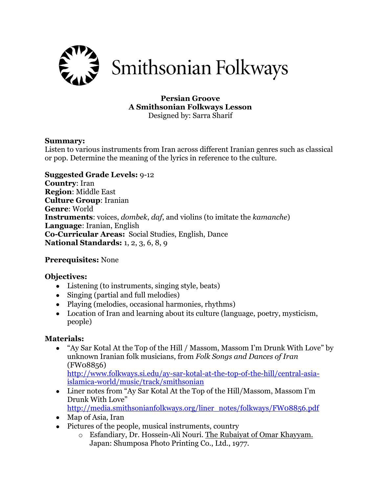

#### **Persian Groove A Smithsonian Folkways Lesson** Designed by: Sarra Sharif

#### **Summary:**

Listen to various instruments from Iran across different Iranian genres such as classical or pop. Determine the meaning of the lyrics in reference to the culture.

### **Suggested Grade Levels:** 9-12

**Country**: Iran **Region**: Middle East **Culture Group**: Iranian **Genre**: World **Instruments**: voices, *dombek*, *daf*, and violins (to imitate the *kamanche*) **Language**: Iranian, English **Co-Curricular Areas:** Social Studies, English, Dance **National Standards:** 1, 2, 3, 6, 8, 9

## **Prerequisites:** None

#### **Objectives:**

- Listening (to instruments, singing style, beats)
- Singing (partial and full melodies)
- Playing (melodies, occasional harmonies, rhythms)
- Location of Iran and learning about its culture (language, poetry, mysticism, people)

#### **Materials:**

 "Ay Sar Kotal At the Top of the Hill / Massom, Massom I'm Drunk With Love" by unknown Iranian folk musicians, from *Folk Songs and Dances of Iran*  (FW08856)

[http://www.folkways.si.edu/ay-sar-kotal-at-the-top-of-the-hill/central-asia](http://www.folkways.si.edu/ay-sar-kotal-at-the-top-of-the-hill/central-asia-islamica-world/music/track/smithsonian)[islamica-world/music/track/smithsonian](http://www.folkways.si.edu/ay-sar-kotal-at-the-top-of-the-hill/central-asia-islamica-world/music/track/smithsonian)

- Liner notes from "Ay Sar Kotal At the Top of the Hill/Massom, Massom I'm Drunk With Love" [http://media.smithsonianfolkways.org/liner\\_notes/folkways/FW08856.pdf](http://media.smithsonianfolkways.org/liner_notes/folkways/FW08856.pdf)
- Map of Asia, Iran
- Pictures of the people, musical instruments, country
	- o Esfandiary, Dr. Hossein-Ali Nouri. The Rubaiyat of Omar Khayyam. Japan: Shumposa Photo Printing Co., Ltd., 1977.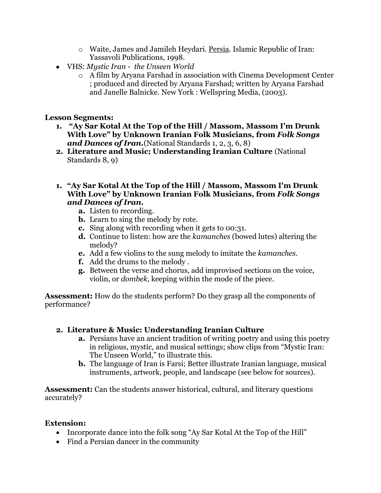- o Waite, James and Jamileh Heydari. Persia. Islamic Republic of Iran: Yassavoli Publications, 1998.
- VHS: *Mystic Iran the Unseen World*
	- o A film by Aryana Farshad in association with Cinema Development Center ; produced and directed by Aryana Farshad; written by Aryana Farshad and Janelle Balnicke. New York : Wellspring Media, (2003).

## **Lesson Segments:**

- **1. "Ay Sar Kotal At the Top of the Hill / Massom, Massom I'm Drunk With Love" by Unknown Iranian Folk Musicians, from** *Folk Songs and Dances of Iran.*(National Standards 1, 2, 3, 6, 8)
- **2. Literature and Music; Understanding Iranian Culture** (National Standards 8, 9)
- **1. "Ay Sar Kotal At the Top of the Hill / Massom, Massom I'm Drunk With Love" by Unknown Iranian Folk Musicians, from** *Folk Songs and Dances of Iran.*
	- **a.** Listen to recording.
	- **b.** Learn to sing the melody by rote.
	- **c.** Sing along with recording when it gets to 00:31.
	- **d.** Continue to listen: how are the *kamanches* (bowed lutes) altering the melody?
	- **e.** Add a few violins to the sung melody to imitate the *kamanches.*
	- **f.** Add the drums to the melody .
	- **g.** Between the verse and chorus, add improvised sections on the voice, violin, or *dombek*, keeping within the mode of the piece.

**Assessment:** How do the students perform? Do they grasp all the components of performance?

# **2. Literature & Music: Understanding Iranian Culture**

- **a.** Persians have an ancient tradition of writing poetry and using this poetry in religious, mystic, and musical settings; show clips from "Mystic Iran: The Unseen World," to illustrate this.
- **b.** The language of Iran is Farsi; Better illustrate Iranian language, musical instruments, artwork, people, and landscape (see below for sources).

**Assessment:** Can the students answer historical, cultural, and literary questions accurately?

## **Extension:**

- Incorporate dance into the folk song "Ay Sar Kotal At the Top of the Hill"
- Find a Persian dancer in the community